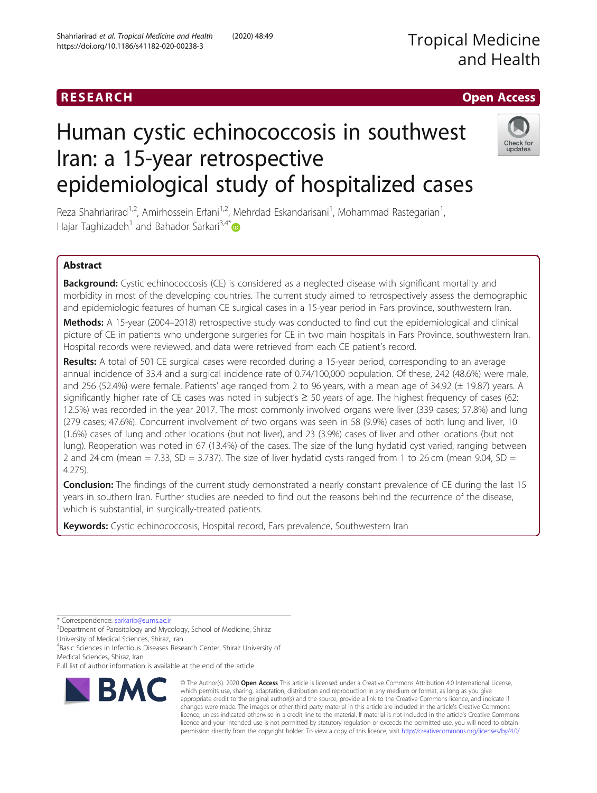# Human cystic echinococcosis in southwest Iran: a 15-year retrospective epidemiological study of hospitalized cases

Reza Shahriarirad<sup>1,2</sup>, Amirhossein Erfani<sup>1,2</sup>, Mehrdad Eskandarisani<sup>1</sup>, Mohammad Rastegarian<sup>1</sup> , Hajar Taghizadeh<sup>1</sup> and Bahador Sarkari<sup>3,4\*</sup>

# Abstract

Background: Cystic echinococcosis (CE) is considered as a neglected disease with significant mortality and morbidity in most of the developing countries. The current study aimed to retrospectively assess the demographic and epidemiologic features of human CE surgical cases in a 15-year period in Fars province, southwestern Iran.

Methods: A 15-year (2004–2018) retrospective study was conducted to find out the epidemiological and clinical picture of CE in patients who undergone surgeries for CE in two main hospitals in Fars Province, southwestern Iran. Hospital records were reviewed, and data were retrieved from each CE patient's record.

Results: A total of 501 CE surgical cases were recorded during a 15-year period, corresponding to an average annual incidence of 33.4 and a surgical incidence rate of 0.74/100,000 population. Of these, 242 (48.6%) were male, and 256 (52.4%) were female. Patients' age ranged from 2 to 96 years, with a mean age of 34.92 (± 19.87) years. A significantly higher rate of CE cases was noted in subject's ≥ 50 years of age. The highest frequency of cases (62: 12.5%) was recorded in the year 2017. The most commonly involved organs were liver (339 cases; 57.8%) and lung (279 cases; 47.6%). Concurrent involvement of two organs was seen in 58 (9.9%) cases of both lung and liver, 10 (1.6%) cases of lung and other locations (but not liver), and 23 (3.9%) cases of liver and other locations (but not lung). Reoperation was noted in 67 (13.4%) of the cases. The size of the lung hydatid cyst varied, ranging between 2 and 24 cm (mean  $= 7.33$ , SD  $= 3.737$ ). The size of liver hydatid cysts ranged from 1 to 26 cm (mean 9.04, SD  $=$ 4.275).

Conclusion: The findings of the current study demonstrated a nearly constant prevalence of CE during the last 15 years in southern Iran. Further studies are needed to find out the reasons behind the recurrence of the disease, which is substantial, in surgically-treated patients.

Keywords: Cystic echinococcosis, Hospital record, Fars prevalence, Southwestern Iran

<sup>3</sup>Department of Parasitology and Mycology, School of Medicine, Shiraz

University of Medical Sciences, Shiraz, Iran

4Basic Sciences in Infectious Diseases Research Center, Shiraz University of Medical Sciences, Shiraz, Iran

Full list of author information is available at the end of the article





© The Author(s). 2020 Open Access This article is licensed under a Creative Commons Attribution 4.0 International License, which permits use, sharing, adaptation, distribution and reproduction in any medium or format, as long as you give appropriate credit to the original author(s) and the source, provide a link to the Creative Commons licence, and indicate if changes were made. The images or other third party material in this article are included in the article's Creative Commons licence, unless indicated otherwise in a credit line to the material. If material is not included in the article's Creative Commons licence and your intended use is not permitted by statutory regulation or exceeds the permitted use, you will need to obtain permission directly from the copyright holder. To view a copy of this licence, visit [http://creativecommons.org/licenses/by/4.0/.](http://creativecommons.org/licenses/by/4.0/)



RESEARCH **RESEARCH CHANNEL CONTROL** 

<sup>\*</sup> Correspondence: [sarkarib@sums.ac.ir](mailto:sarkarib@sums.ac.ir) <sup>3</sup>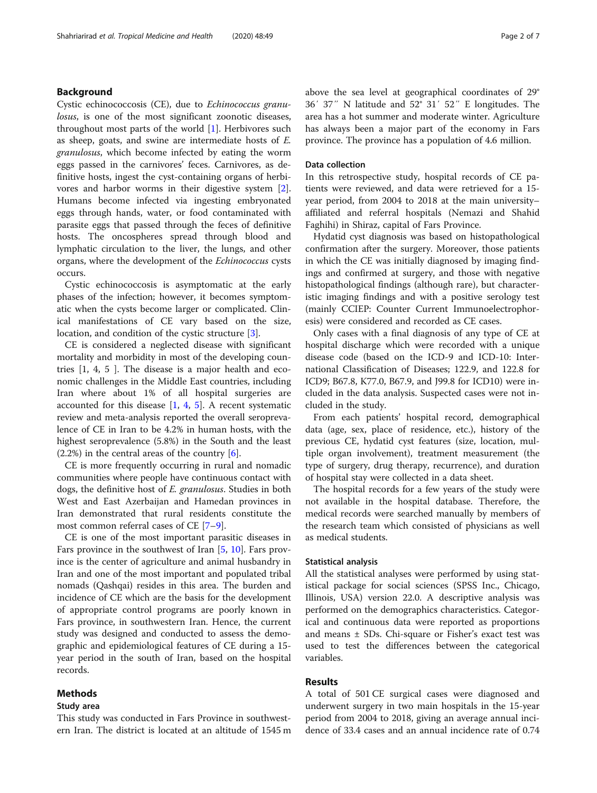# Background

Cystic echinococcosis (CE), due to Echinococcus granulosus, is one of the most significant zoonotic diseases, throughout most parts of the world [\[1](#page-5-0)]. Herbivores such as sheep, goats, and swine are intermediate hosts of E. granulosus, which become infected by eating the worm eggs passed in the carnivores' feces. Carnivores, as definitive hosts, ingest the cyst-containing organs of herbivores and harbor worms in their digestive system [\[2](#page-5-0)]. Humans become infected via ingesting embryonated eggs through hands, water, or food contaminated with parasite eggs that passed through the feces of definitive hosts. The oncospheres spread through blood and lymphatic circulation to the liver, the lungs, and other organs, where the development of the Echinococcus cysts occurs.

Cystic echinococcosis is asymptomatic at the early phases of the infection; however, it becomes symptomatic when the cysts become larger or complicated. Clinical manifestations of CE vary based on the size, location, and condition of the cystic structure [[3\]](#page-5-0).

CE is considered a neglected disease with significant mortality and morbidity in most of the developing countries [1, 4, 5 ]. The disease is a major health and economic challenges in the Middle East countries, including Iran where about 1% of all hospital surgeries are accounted for this disease  $[1, 4, 5]$  $[1, 4, 5]$  $[1, 4, 5]$  $[1, 4, 5]$  $[1, 4, 5]$ . A recent systematic review and meta-analysis reported the overall seroprevalence of CE in Iran to be 4.2% in human hosts, with the highest seroprevalence (5.8%) in the South and the least  $(2.2%)$  in the central areas of the country [\[6](#page-5-0)].

CE is more frequently occurring in rural and nomadic communities where people have continuous contact with dogs, the definitive host of E. granulosus. Studies in both West and East Azerbaijan and Hamedan provinces in Iran demonstrated that rural residents constitute the most common referral cases of CE [[7](#page-5-0)–[9](#page-5-0)].

CE is one of the most important parasitic diseases in Fars province in the southwest of Iran [\[5](#page-5-0), [10](#page-5-0)]. Fars province is the center of agriculture and animal husbandry in Iran and one of the most important and populated tribal nomads (Qashqai) resides in this area. The burden and incidence of CE which are the basis for the development of appropriate control programs are poorly known in Fars province, in southwestern Iran. Hence, the current study was designed and conducted to assess the demographic and epidemiological features of CE during a 15 year period in the south of Iran, based on the hospital records.

# Methods

# Study area

This study was conducted in Fars Province in southwestern Iran. The district is located at an altitude of 1545 m above the sea level at geographical coordinates of 29° 36′ 37″ N latitude and 52° 31′ 52″ E longitudes. The area has a hot summer and moderate winter. Agriculture has always been a major part of the economy in Fars province. The province has a population of 4.6 million.

## Data collection

In this retrospective study, hospital records of CE patients were reviewed, and data were retrieved for a 15 year period, from 2004 to 2018 at the main university– affiliated and referral hospitals (Nemazi and Shahid Faghihi) in Shiraz, capital of Fars Province.

Hydatid cyst diagnosis was based on histopathological confirmation after the surgery. Moreover, those patients in which the CE was initially diagnosed by imaging findings and confirmed at surgery, and those with negative histopathological findings (although rare), but characteristic imaging findings and with a positive serology test (mainly CCIEP: Counter Current Immunoelectrophoresis) were considered and recorded as CE cases.

Only cases with a final diagnosis of any type of CE at hospital discharge which were recorded with a unique disease code (based on the ICD-9 and ICD-10: International Classification of Diseases; 122.9, and 122.8 for ICD9; B67.8, K77.0, B67.9, and J99.8 for ICD10) were included in the data analysis. Suspected cases were not included in the study.

From each patients' hospital record, demographical data (age, sex, place of residence, etc.), history of the previous CE, hydatid cyst features (size, location, multiple organ involvement), treatment measurement (the type of surgery, drug therapy, recurrence), and duration of hospital stay were collected in a data sheet.

The hospital records for a few years of the study were not available in the hospital database. Therefore, the medical records were searched manually by members of the research team which consisted of physicians as well as medical students.

## Statistical analysis

All the statistical analyses were performed by using statistical package for social sciences (SPSS Inc., Chicago, Illinois, USA) version 22.0. A descriptive analysis was performed on the demographics characteristics. Categorical and continuous data were reported as proportions and means  $\pm$  SDs. Chi-square or Fisher's exact test was used to test the differences between the categorical variables.

# Results

A total of 501 CE surgical cases were diagnosed and underwent surgery in two main hospitals in the 15-year period from 2004 to 2018, giving an average annual incidence of 33.4 cases and an annual incidence rate of 0.74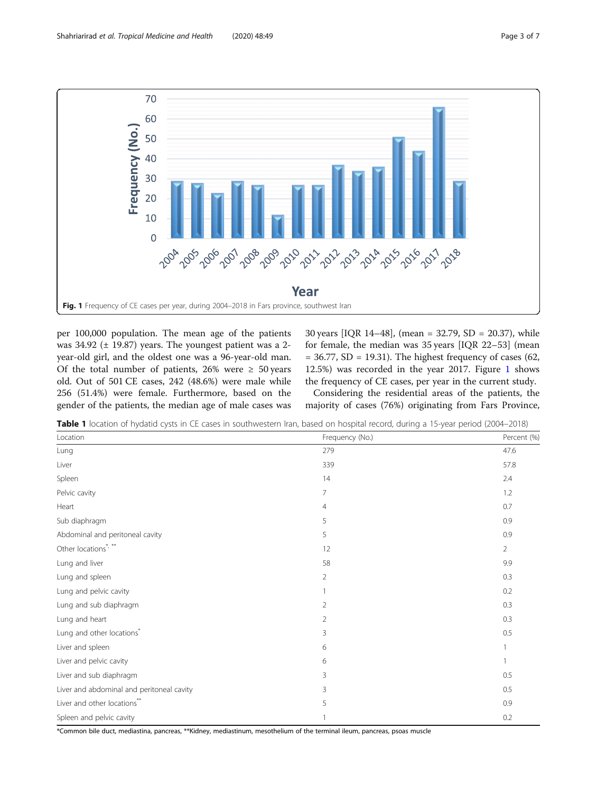<span id="page-2-0"></span>

per 100,000 population. The mean age of the patients was  $34.92$  ( $\pm$  19.87) years. The youngest patient was a 2year-old girl, and the oldest one was a 96-year-old man. Of the total number of patients, 26% were  $\geq$  50 years old. Out of 501 CE cases, 242 (48.6%) were male while 256 (51.4%) were female. Furthermore, based on the gender of the patients, the median age of male cases was 30 years [IQR 14–48], (mean = 32.79, SD = 20.37), while for female, the median was 35 years [IQR 22–53] (mean  $= 36.77$ , SD  $= 19.31$ ). The highest frequency of cases (62, 12.5%) was recorded in the year 2017. Figure 1 shows the frequency of CE cases, per year in the current study.

Considering the residential areas of the patients, the majority of cases (76%) originating from Fars Province,

Table 1 location of hydatid cysts in CE cases in southwestern Iran, based on hospital record, during a 15-year period (2004–2018)

| Location                                  | Frequency (No.) | Percent (%)<br>47.6 |  |
|-------------------------------------------|-----------------|---------------------|--|
| Lung                                      | 279             |                     |  |
| Liver                                     | 339             | 57.8                |  |
| Spleen                                    | 14              | 2.4                 |  |
| Pelvic cavity                             | $\overline{7}$  | 1.2                 |  |
| Heart                                     | $\overline{4}$  | 0.7                 |  |
| Sub diaphragm                             | 5               | 0.9                 |  |
| Abdominal and peritoneal cavity           | 5               | 0.9                 |  |
| Other locations*/**                       | 12              | $\overline{2}$      |  |
| Lung and liver                            | 58              | 9.9                 |  |
| Lung and spleen                           | $\overline{2}$  | 0.3                 |  |
| Lung and pelvic cavity                    |                 | 0.2                 |  |
| Lung and sub diaphragm                    | $\overline{2}$  | 0.3                 |  |
| Lung and heart                            | $\overline{2}$  | 0.3                 |  |
| Lung and other locations*                 | 3               | 0.5                 |  |
| Liver and spleen                          | 6               | 1                   |  |
| Liver and pelvic cavity                   | 6               | 1                   |  |
| Liver and sub diaphragm                   | 3               | 0.5                 |  |
| Liver and abdominal and peritoneal cavity | 3               | 0.5                 |  |
| Liver and other locations"                | 5               | 0.9                 |  |
| Spleen and pelvic cavity                  |                 | 0.2                 |  |

\*Common bile duct, mediastina, pancreas, \*\*Kidney, mediastinum, mesothelium of the terminal ileum, pancreas, psoas muscle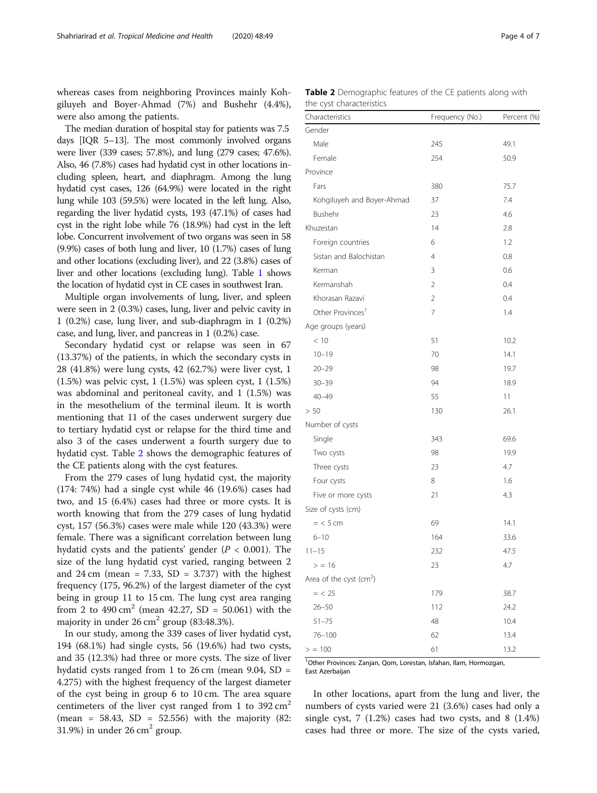whereas cases from neighboring Provinces mainly Kohgiluyeh and Boyer-Ahmad (7%) and Bushehr (4.4%), were also among the patients.

The median duration of hospital stay for patients was 7.5 days [IQR 5–13]. The most commonly involved organs were liver (339 cases; 57.8%), and lung (279 cases; 47.6%). Also, 46 (7.8%) cases had hydatid cyst in other locations including spleen, heart, and diaphragm. Among the lung hydatid cyst cases, 126 (64.9%) were located in the right lung while 103 (59.5%) were located in the left lung. Also, regarding the liver hydatid cysts, 193 (47.1%) of cases had cyst in the right lobe while 76 (18.9%) had cyst in the left lobe. Concurrent involvement of two organs was seen in 58 (9.9%) cases of both lung and liver, 10 (1.7%) cases of lung and other locations (excluding liver), and 22 (3.8%) cases of liver and other locations (excluding lung). Table [1](#page-2-0) shows the location of hydatid cyst in CE cases in southwest Iran.

Multiple organ involvements of lung, liver, and spleen were seen in 2 (0.3%) cases, lung, liver and pelvic cavity in 1 (0.2%) case, lung liver, and sub-diaphragm in 1 (0.2%) case, and lung, liver, and pancreas in 1 (0.2%) case.

Secondary hydatid cyst or relapse was seen in 67 (13.37%) of the patients, in which the secondary cysts in 28 (41.8%) were lung cysts, 42 (62.7%) were liver cyst, 1 (1.5%) was pelvic cyst, 1 (1.5%) was spleen cyst, 1 (1.5%) was abdominal and peritoneal cavity, and 1 (1.5%) was in the mesothelium of the terminal ileum. It is worth mentioning that 11 of the cases underwent surgery due to tertiary hydatid cyst or relapse for the third time and also 3 of the cases underwent a fourth surgery due to hydatid cyst. Table 2 shows the demographic features of the CE patients along with the cyst features.

From the 279 cases of lung hydatid cyst, the majority (174: 74%) had a single cyst while 46 (19.6%) cases had two, and 15 (6.4%) cases had three or more cysts. It is worth knowing that from the 279 cases of lung hydatid cyst, 157 (56.3%) cases were male while 120 (43.3%) were female. There was a significant correlation between lung hydatid cysts and the patients' gender ( $P < 0.001$ ). The size of the lung hydatid cyst varied, ranging between 2 and  $24 \text{ cm}$  (mean = 7.33, SD = 3.737) with the highest frequency (175, 96.2%) of the largest diameter of the cyst being in group 11 to 15 cm. The lung cyst area ranging from 2 to 490 cm<sup>2</sup> (mean 42.27, SD = 50.061) with the majority in under  $26 \text{ cm}^2$  group (83:48.3%).

In our study, among the 339 cases of liver hydatid cyst, 194 (68.1%) had single cysts, 56 (19.6%) had two cysts, and 35 (12.3%) had three or more cysts. The size of liver hydatid cysts ranged from 1 to 26 cm (mean 9.04, SD = 4.275) with the highest frequency of the largest diameter of the cyst being in group 6 to 10 cm. The area square centimeters of the liver cyst ranged from 1 to  $392 \text{ cm}^2$ (mean =  $58.43$ , SD =  $52.556$ ) with the majority (82: 31.9%) in under  $26 \text{ cm}^2$  group.

| <b>Table 2</b> Demographic features of the CE patients along with |  |  |  |
|-------------------------------------------------------------------|--|--|--|
| the cyst characteristics                                          |  |  |  |

| Characteristics              | Frequency (No.) | Percent (%) |
|------------------------------|-----------------|-------------|
| Gender                       |                 |             |
| Male                         | 245             | 49.1        |
| Female                       | 254             | 50.9        |
| Province                     |                 |             |
| Fars                         | 380             | 75.7        |
| Kohgiluyeh and Boyer-Ahmad   | 37              | 7.4         |
| Bushehr                      | 23              | 4.6         |
| Khuzestan                    | 14              | 2.8         |
| Foreign countries            | 6               | 1.2         |
| Sistan and Balochistan       | 4               | 0.8         |
| Kerman                       | 3               | 0.6         |
| Kermanshah                   | 2               | 0.4         |
| Khorasan Razavi              | 2               | 0.4         |
| Other Provinces <sup>1</sup> | 7               | 1.4         |
| Age groups (years)           |                 |             |
| < 10                         | 51              | 10.2        |
| $10 - 19$                    | 70              | 14.1        |
| $20 - 29$                    | 98              | 19.7        |
| $30 - 39$                    | 94              | 18.9        |
| $40 - 49$                    | 55              | 11          |
| > 50                         | 130             | 26.1        |
| Number of cysts              |                 |             |
| Single                       | 343             | 69.6        |
| Two cysts                    | 98              | 19.9        |
| Three cysts                  | 23              | 4.7         |
| Four cysts                   | 8               | 1.6         |
| Five or more cysts           | 21              | 4.3         |
| Size of cysts (cm)           |                 |             |
| $=$ < 5 cm                   | 69              | 14.1        |
| $6 - 10$                     | 164             | 33.6        |
| $11 - 15$                    | 232             | 47.5        |
| > 16                         | 23              | 4.7         |
| Area of the cyst $(cm2)$     |                 |             |
| $=$ < 25                     | 179             | 38.7        |
| $26 - 50$                    | 112             | 24.2        |
| $51 - 75$                    | 48              | 10.4        |
| 76-100                       | 62              | 13.4        |
| > 100                        | 61              | 13.2        |

1 Other Provinces: Zanjan, Qom, Lorestan, Isfahan, Ilam, Hormozgan, East Azerbaijan

In other locations, apart from the lung and liver, the numbers of cysts varied were 21 (3.6%) cases had only a single cyst,  $7(1.2\%)$  cases had two cysts, and  $8(1.4\%)$ cases had three or more. The size of the cysts varied,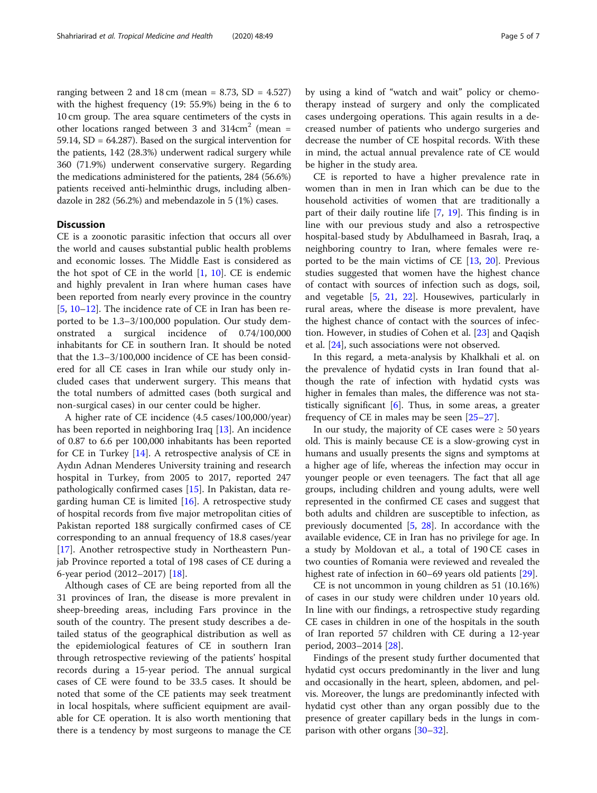ranging between 2 and 18 cm (mean =  $8.73$ , SD =  $4.527$ ) with the highest frequency (19: 55.9%) being in the 6 to 10 cm group. The area square centimeters of the cysts in other locations ranged between 3 and  $314 \text{cm}^2$  (mean = 59.14, SD = 64.287). Based on the surgical intervention for the patients, 142 (28.3%) underwent radical surgery while 360 (71.9%) underwent conservative surgery. Regarding the medications administered for the patients, 284 (56.6%) patients received anti-helminthic drugs, including albendazole in 282 (56.2%) and mebendazole in 5 (1%) cases.

# **Discussion**

CE is a zoonotic parasitic infection that occurs all over the world and causes substantial public health problems and economic losses. The Middle East is considered as the hot spot of CE in the world [[1](#page-5-0), [10](#page-5-0)]. CE is endemic and highly prevalent in Iran where human cases have been reported from nearly every province in the country [[5,](#page-5-0) [10](#page-5-0)–[12](#page-5-0)]. The incidence rate of CE in Iran has been reported to be 1.3–3/100,000 population. Our study demonstrated a surgical incidence of 0.74/100,000 inhabitants for CE in southern Iran. It should be noted that the 1.3–3/100,000 incidence of CE has been considered for all CE cases in Iran while our study only included cases that underwent surgery. This means that the total numbers of admitted cases (both surgical and non-surgical cases) in our center could be higher.

A higher rate of CE incidence (4.5 cases/100,000/year) has been reported in neighboring Iraq [\[13](#page-5-0)]. An incidence of 0.87 to 6.6 per 100,000 inhabitants has been reported for CE in Turkey [\[14](#page-5-0)]. A retrospective analysis of CE in Aydın Adnan Menderes University training and research hospital in Turkey, from 2005 to 2017, reported 247 pathologically confirmed cases [[15](#page-5-0)]. In Pakistan, data regarding human CE is limited  $[16]$  $[16]$  $[16]$ . A retrospective study of hospital records from five major metropolitan cities of Pakistan reported 188 surgically confirmed cases of CE corresponding to an annual frequency of 18.8 cases/year [[17\]](#page-5-0). Another retrospective study in Northeastern Punjab Province reported a total of 198 cases of CE during a 6-year period (2012–2017) [[18\]](#page-6-0).

Although cases of CE are being reported from all the 31 provinces of Iran, the disease is more prevalent in sheep-breeding areas, including Fars province in the south of the country. The present study describes a detailed status of the geographical distribution as well as the epidemiological features of CE in southern Iran through retrospective reviewing of the patients' hospital records during a 15-year period. The annual surgical cases of CE were found to be 33.5 cases. It should be noted that some of the CE patients may seek treatment in local hospitals, where sufficient equipment are available for CE operation. It is also worth mentioning that there is a tendency by most surgeons to manage the CE by using a kind of "watch and wait" policy or chemotherapy instead of surgery and only the complicated cases undergoing operations. This again results in a decreased number of patients who undergo surgeries and decrease the number of CE hospital records. With these in mind, the actual annual prevalence rate of CE would be higher in the study area.

CE is reported to have a higher prevalence rate in women than in men in Iran which can be due to the household activities of women that are traditionally a part of their daily routine life [[7,](#page-5-0) [19\]](#page-6-0). This finding is in line with our previous study and also a retrospective hospital-based study by Abdulhameed in Basrah, Iraq, a neighboring country to Iran, where females were reported to be the main victims of CE [\[13](#page-5-0), [20](#page-6-0)]. Previous studies suggested that women have the highest chance of contact with sources of infection such as dogs, soil, and vegetable [[5,](#page-5-0) [21](#page-6-0), [22\]](#page-6-0). Housewives, particularly in rural areas, where the disease is more prevalent, have the highest chance of contact with the sources of infection. However, in studies of Cohen et al. [[23\]](#page-6-0) and Qaqish et al. [\[24](#page-6-0)], such associations were not observed.

In this regard, a meta-analysis by Khalkhali et al. on the prevalence of hydatid cysts in Iran found that although the rate of infection with hydatid cysts was higher in females than males, the difference was not statistically significant  $[6]$  $[6]$ . Thus, in some areas, a greater frequency of CE in males may be seen [\[25](#page-6-0)–[27](#page-6-0)].

In our study, the majority of CE cases were  $\geq 50$  years old. This is mainly because CE is a slow-growing cyst in humans and usually presents the signs and symptoms at a higher age of life, whereas the infection may occur in younger people or even teenagers. The fact that all age groups, including children and young adults, were well represented in the confirmed CE cases and suggest that both adults and children are susceptible to infection, as previously documented [\[5,](#page-5-0) [28](#page-6-0)]. In accordance with the available evidence, CE in Iran has no privilege for age. In a study by Moldovan et al., a total of 190 CE cases in two counties of Romania were reviewed and revealed the highest rate of infection in 60–69 years old patients [\[29](#page-6-0)].

CE is not uncommon in young children as 51 (10.16%) of cases in our study were children under 10 years old. In line with our findings, a retrospective study regarding CE cases in children in one of the hospitals in the south of Iran reported 57 children with CE during a 12-year period, 2003–2014 [\[28](#page-6-0)].

Findings of the present study further documented that hydatid cyst occurs predominantly in the liver and lung and occasionally in the heart, spleen, abdomen, and pelvis. Moreover, the lungs are predominantly infected with hydatid cyst other than any organ possibly due to the presence of greater capillary beds in the lungs in comparison with other organs [\[30](#page-6-0)–[32](#page-6-0)].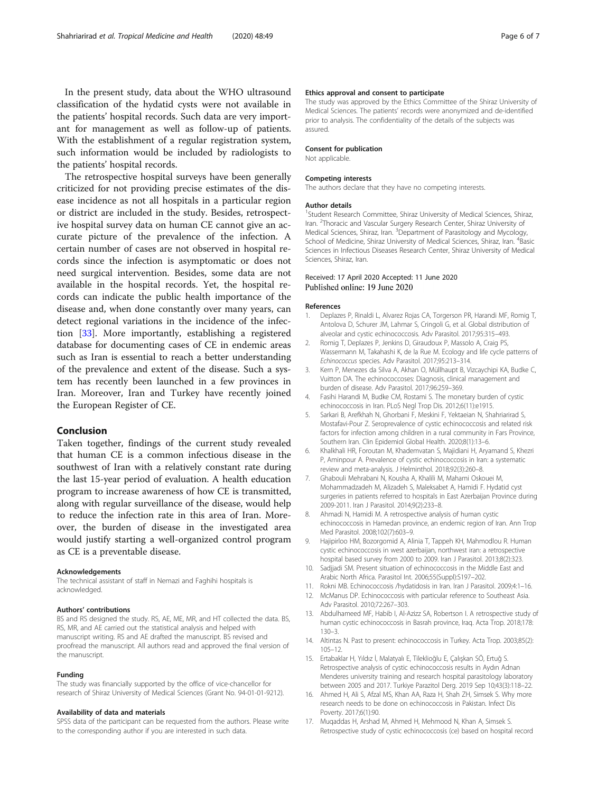<span id="page-5-0"></span>In the present study, data about the WHO ultrasound classification of the hydatid cysts were not available in the patients' hospital records. Such data are very important for management as well as follow-up of patients. With the establishment of a regular registration system, such information would be included by radiologists to the patients' hospital records.

The retrospective hospital surveys have been generally criticized for not providing precise estimates of the disease incidence as not all hospitals in a particular region or district are included in the study. Besides, retrospective hospital survey data on human CE cannot give an accurate picture of the prevalence of the infection. A certain number of cases are not observed in hospital records since the infection is asymptomatic or does not need surgical intervention. Besides, some data are not available in the hospital records. Yet, the hospital records can indicate the public health importance of the disease and, when done constantly over many years, can detect regional variations in the incidence of the infection [[33\]](#page-6-0). More importantly, establishing a registered database for documenting cases of CE in endemic areas such as Iran is essential to reach a better understanding of the prevalence and extent of the disease. Such a system has recently been launched in a few provinces in Iran. Moreover, Iran and Turkey have recently joined the European Register of CE.

# Conclusion

Taken together, findings of the current study revealed that human CE is a common infectious disease in the southwest of Iran with a relatively constant rate during the last 15-year period of evaluation. A health education program to increase awareness of how CE is transmitted, along with regular surveillance of the disease, would help to reduce the infection rate in this area of Iran. Moreover, the burden of disease in the investigated area would justify starting a well-organized control program as CE is a preventable disease.

## Acknowledgements

The technical assistant of staff in Nemazi and Faghihi hospitals is acknowledged.

#### Authors' contributions

BS and RS designed the study. RS, AE, ME, MR, and HT collected the data. BS, RS, MR, and AE carried out the statistical analysis and helped with manuscript writing. RS and AE drafted the manuscript. BS revised and proofread the manuscript. All authors read and approved the final version of the manuscript.

#### Funding

The study was financially supported by the office of vice-chancellor for research of Shiraz University of Medical Sciences (Grant No. 94-01-01-9212).

## Availability of data and materials

SPSS data of the participant can be requested from the authors. Please write to the corresponding author if you are interested in such data.

## Ethics approval and consent to participate

The study was approved by the Ethics Committee of the Shiraz University of Medical Sciences. The patients' records were anonymized and de-identified prior to analysis. The confidentiality of the details of the subjects was assured.

#### Consent for publication

Not applicable.

## Competing interests

The authors declare that they have no competing interests.

#### Author details

<sup>1</sup>Student Research Committee, Shiraz University of Medical Sciences, Shiraz Iran. <sup>2</sup>Thoracic and Vascular Surgery Research Center, Shiraz University of Medical Sciences, Shiraz, Iran. <sup>3</sup> Department of Parasitology and Mycology, School of Medicine, Shiraz University of Medical Sciences, Shiraz, Iran. <sup>4</sup>Basic Sciences in Infectious Diseases Research Center, Shiraz University of Medical Sciences, Shiraz, Iran.

## Received: 17 April 2020 Accepted: 11 June 2020 Published online: 19 June 2020

## References

- 1. Deplazes P, Rinaldi L, Alvarez Rojas CA, Torgerson PR, Harandi MF, Romig T, Antolova D, Schurer JM, Lahmar S, Cringoli G, et al. Global distribution of alveolar and cystic echinococcosis. Adv Parasitol. 2017;95:315–493.
- 2. Romig T, Deplazes P, Jenkins D, Giraudoux P, Massolo A, Craig PS, Wassermann M, Takahashi K, de la Rue M. Ecology and life cycle patterns of Echinococcus species. Adv Parasitol. 2017;95:213–314.
- 3. Kern P, Menezes da Silva A, Akhan O, Müllhaupt B, Vizcaychipi KA, Budke C, Vuitton DA. The echinococcoses: Diagnosis, clinical management and burden of disease. Adv Parasitol. 2017;96:259–369.
- 4. Fasihi Harandi M, Budke CM, Rostami S. The monetary burden of cystic echinococcosis in Iran. PLoS Negl Trop Dis. 2012;6(11):e1915.
- 5. Sarkari B, Arefkhah N, Ghorbani F, Meskini F, Yektaeian N, Shahriarirad S, Mostafavi-Pour Z. Seroprevalence of cystic echinococcosis and related risk factors for infection among children in a rural community in Fars Province, Southern Iran. Clin Epidemiol Global Health. 2020;8(1):13–6.
- 6. Khalkhali HR, Foroutan M, Khademvatan S, Majidiani H, Aryamand S, Khezri P, Aminpour A. Prevalence of cystic echinococcosis in Iran: a systematic review and meta-analysis. J Helminthol. 2018;92(3):260–8.
- 7. Ghabouli Mehrabani N, Kousha A, Khalili M, Mahami Oskouei M, Mohammadzadeh M, Alizadeh S, Maleksabet A, Hamidi F. Hydatid cyst surgeries in patients referred to hospitals in East Azerbaijan Province during 2009-2011. Iran J Parasitol. 2014;9(2):233–8.
- 8. Ahmadi N, Hamidi M. A retrospective analysis of human cystic echinococcosis in Hamedan province, an endemic region of Iran. Ann Trop Med Parasitol. 2008;102(7):603–9.
- 9. Hajipirloo HM, Bozorgomid A, Alinia T, Tappeh KH, Mahmodlou R. Human cystic echinococcosis in west azerbaijan, northwest iran: a retrospective hospital based survey from 2000 to 2009. Iran J Parasitol. 2013;8(2):323.
- 10. Sadjjadi SM. Present situation of echinococcosis in the Middle East and Arabic North Africa. Parasitol Int. 2006;55(Suppl):S197–202.
- 11. Rokni MB. Echinococcosis /hydatidosis in Iran. Iran J Parasitol. 2009;4:1–16.
- 12. McManus DP. Echinococcosis with particular reference to Southeast Asia. Adv Parasitol. 2010;72:267–303.
- 13. Abdulhameed MF, Habib I, Al-Azizz SA, Robertson I. A retrospective study of human cystic echinococcosis in Basrah province, Iraq. Acta Trop. 2018;178: 130–3.
- 14. Altintas N. Past to present: echinococcosis in Turkey. Acta Trop. 2003;85(2): 105–12.
- 15. Ertabaklar H, Yıldız İ, Malatyalı E, Tileklioğlu E, Çalışkan SÖ, Ertuğ S. Retrospective analysis of cystic echinococcosis results in Aydın Adnan Menderes university training and research hospital parasitology laboratory between 2005 and 2017. Turkiye Parazitol Derg. 2019 Sep 10;43(3):118–22.
- 16. Ahmed H, Ali S, Afzal MS, Khan AA, Raza H, Shah ZH, Simsek S. Why more research needs to be done on echinococcosis in Pakistan. Infect Dis Poverty. 2017;6(1):90.
- 17. Muqaddas H, Arshad M, Ahmed H, Mehmood N, Khan A, Simsek S. Retrospective study of cystic echinococcosis (ce) based on hospital record